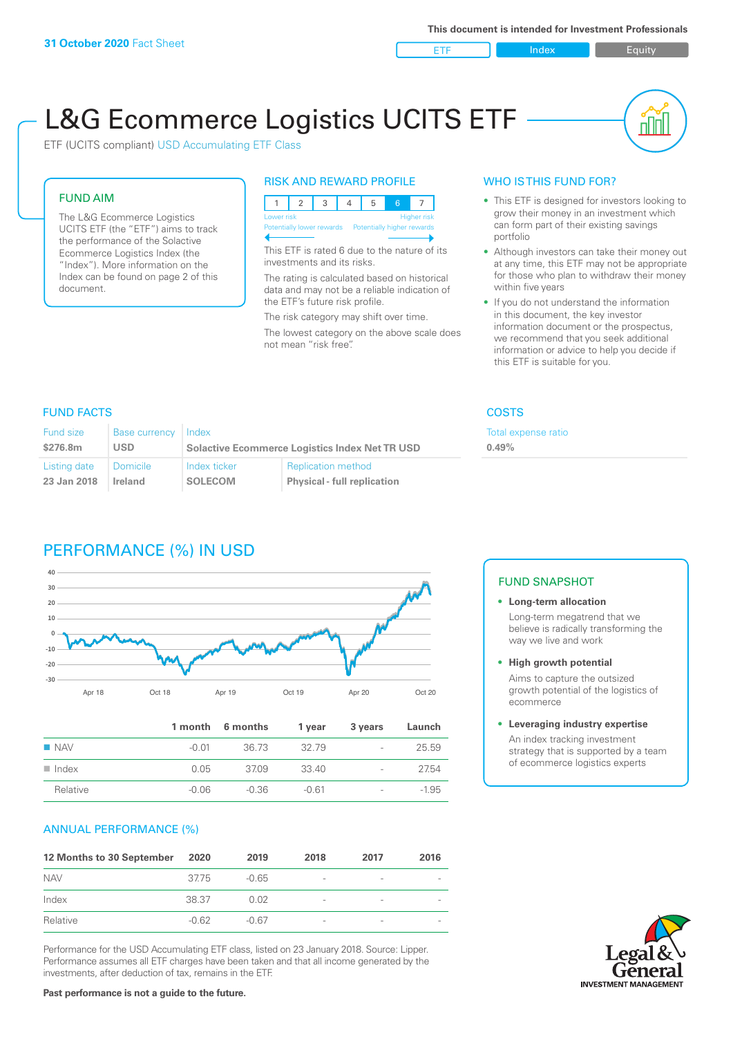ETF Index Buity

nN

# L&G Ecommerce Logistics UCITS ETF

ETF (UCITS compliant) USD Accumulating ETF Class

# FUND AIM

The L&G Ecommerce Logistics UCITS ETF (the "ETF") aims to track the performance of the Solactive Ecommerce Logistics Index (the "Index"). More information on the Index can be found on page 2 of this document.

# RISK AND REWARD PROFILE



This ETF is rated 6 due to the nature of its investments and its risks.

The rating is calculated based on historical data and may not be a reliable indication of the ETF's future risk profile.

The risk category may shift over time. The lowest category on the above scale does not mean "risk free".

# WHO IS THIS FUND FOR?

- This ETF is designed for investors looking to grow their money in an investment which can form part of their existing savings portfolio
- Although investors can take their money out at any time, this ETF may not be appropriate for those who plan to withdraw their money within five years
- If you do not understand the information in this document, the key investor information document or the prospectus, we recommend that you seek additional information or advice to help you decide if this ETF is suitable for you.

**0.49%**

Total expense ratio

# FUND FACTS COSTS

| <b>Fund size</b> | <b>Base currency</b> | Index                                                 |                                    |  |
|------------------|----------------------|-------------------------------------------------------|------------------------------------|--|
| \$276.8m         | USD                  | <b>Solactive Ecommerce Logistics Index Net TR USD</b> |                                    |  |
| Listing date     | <b>Domicile</b>      | Index ticker                                          | <b>Replication method</b>          |  |
| 23 Jan 2018      | Ireland              | <b>SOLECOM</b>                                        | <b>Physical - full replication</b> |  |

# PERFORMANCE (%) IN USD



|                      |         | 1 month 6 months | 1 vear  | 3 years                  | Launch  |
|----------------------|---------|------------------|---------|--------------------------|---------|
| <b>NAV</b>           | -0.01   | 36.73            | 32.79   | $\overline{\phantom{a}}$ | 25.59   |
| $\blacksquare$ Index | 0.05    | 37.09            | 33.40   | $\overline{\phantom{0}}$ | 27.54   |
| Relative             | $-0.06$ | -0.36            | $-0.61$ | $\overline{\phantom{a}}$ | $-1.95$ |

# ANNUAL PERFORMANCE (%)

| 12 Months to 30 September | 2020    | 2019    | 2018                     | 2017                     | 2016 |
|---------------------------|---------|---------|--------------------------|--------------------------|------|
| <b>NAV</b>                | 3775    | $-0.65$ | $\overline{\phantom{a}}$ | $\qquad \qquad$          |      |
| Index                     | 38.37   | 0.02    | $\overline{\phantom{a}}$ | $\overline{\phantom{0}}$ |      |
| Relative                  | $-0.62$ | -0.67   | $\qquad \qquad$          | $\qquad \qquad$          |      |

Performance for the USD Accumulating ETF class, listed on 23 January 2018. Source: Lipper. Performance assumes all ETF charges have been taken and that all income generated by the investments, after deduction of tax, remains in the ETF.

## FUND SNAPSHOT

**• Long-term allocation** Long-term megatrend that we believe is radically transforming the way we live and work

**• High growth potential**

Aims to capture the outsized growth potential of the logistics of ecommerce

#### **• Leveraging industry expertise**

An index tracking investment strategy that is supported by a team of ecommerce logistics experts

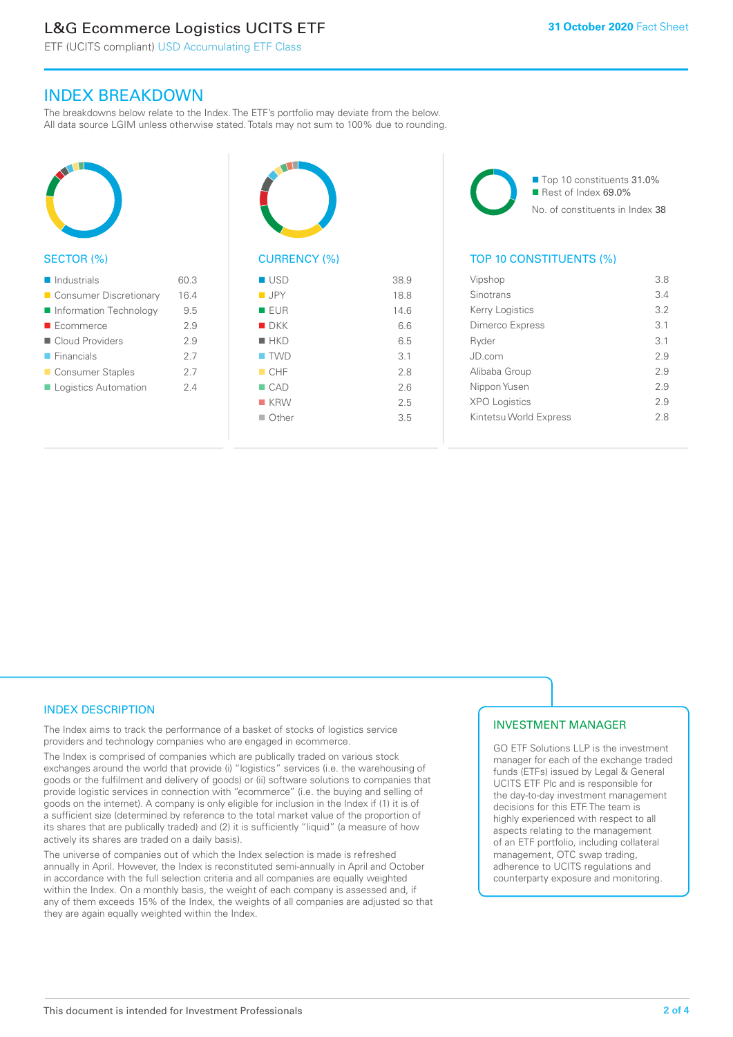# L&G Ecommerce Logistics UCITS ETF

ETF (UCITS compliant) USD Accumulating ETF Class

# INDEX BREAKDOWN

The breakdowns below relate to the Index. The ETF's portfolio may deviate from the below. All data source LGIM unless otherwise stated. Totals may not sum to 100% due to rounding.



#### SECTOR (%)

| $\blacksquare$ Industrials | 60.3 |
|----------------------------|------|
| ■ Consumer Discretionary   | 16.4 |
| Information Technology     | 9.5  |
| ■ Ecommerce                | 2.9  |
| Cloud Providers            | 2.9  |
| $\blacksquare$ Financials  | 2.7  |
| ■ Consumer Staples         | 27   |
| Logistics Automation       | 24   |
|                            |      |



# CURRENCY (%)

| $\blacksquare$ USD | 38.9 |
|--------------------|------|
| $\blacksquare$ JPY | 18.8 |
| ■ EUR              | 14.6 |
| $\blacksquare$ DKK | 6.6  |
| $H$ HKD            | 6.5  |
| $\blacksquare$ TWD | 3.1  |
| CHF                | 2.8  |
| $\Box$ CAD         | 2.6  |
| $K$ KRW            | 2.5  |
| $\Box$ Other       | 3.5  |
|                    |      |

■ Top 10 constituents 31.0% Rest of Index 69.0% No. of constituents in Index 38

# TOP 10 CONSTITUENTS (%)

| Vipshop                | 3.8 |
|------------------------|-----|
| Sinotrans              | 3.4 |
| Kerry Logistics        | 3.2 |
| <b>Dimerco Express</b> | 3.1 |
| Ryder                  | 3.1 |
| JD.com                 | 29  |
| Alibaba Group          | 2.9 |
| Nippon Yusen           | 29  |
| <b>XPO Logistics</b>   | 2.9 |
| Kintetsu World Express | 28  |
|                        |     |

# INDEX DESCRIPTION

The Index aims to track the performance of a basket of stocks of logistics service providers and technology companies who are engaged in ecommerce.

The Index is comprised of companies which are publically traded on various stock exchanges around the world that provide (i) "logistics" services (i.e. the warehousing of goods or the fulfilment and delivery of goods) or (ii) software solutions to companies that provide logistic services in connection with "ecommerce" (i.e. the buying and selling of goods on the internet). A company is only eligible for inclusion in the Index if (1) it is of a sufficient size (determined by reference to the total market value of the proportion of its shares that are publically traded) and (2) it is sufficiently "liquid" (a measure of how actively its shares are traded on a daily basis).

The universe of companies out of which the Index selection is made is refreshed annually in April. However, the Index is reconstituted semi-annually in April and October in accordance with the full selection criteria and all companies are equally weighted within the Index. On a monthly basis, the weight of each company is assessed and, if any of them exceeds 15% of the Index, the weights of all companies are adjusted so that they are again equally weighted within the Index.

# INVESTMENT MANAGER

GO ETF Solutions LLP is the investment manager for each of the exchange traded funds (ETFs) issued by Legal & General UCITS ETF Plc and is responsible for the day-to-day investment management decisions for this ETF. The team is highly experienced with respect to all aspects relating to the management of an ETF portfolio, including collateral management, OTC swap trading, adherence to UCITS regulations and counterparty exposure and monitoring.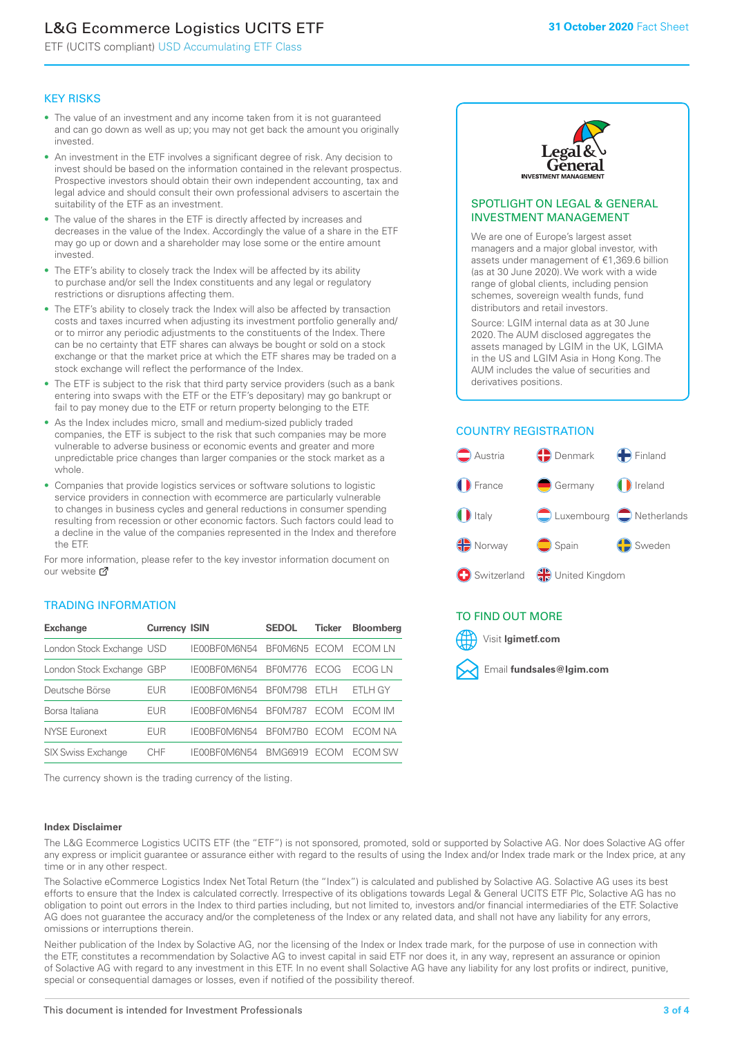# L&G Ecommerce Logistics UCITS ETF

ETF (UCITS compliant) USD Accumulating ETF Class

## KEY RISKS

- The value of an investment and any income taken from it is not guaranteed and can go down as well as up; you may not get back the amount you originally invested.
- An investment in the ETF involves a significant degree of risk. Any decision to invest should be based on the information contained in the relevant prospectus. Prospective investors should obtain their own independent accounting, tax and legal advice and should consult their own professional advisers to ascertain the suitability of the ETF as an investment.
- The value of the shares in the ETF is directly affected by increases and decreases in the value of the Index. Accordingly the value of a share in the ETF may go up or down and a shareholder may lose some or the entire amount invested.
- The ETF's ability to closely track the Index will be affected by its ability to purchase and/or sell the Index constituents and any legal or regulatory restrictions or disruptions affecting them.
- The ETF's ability to closely track the Index will also be affected by transaction costs and taxes incurred when adjusting its investment portfolio generally and/ or to mirror any periodic adjustments to the constituents of the Index. There can be no certainty that ETF shares can always be bought or sold on a stock exchange or that the market price at which the ETF shares may be traded on a stock exchange will reflect the performance of the Index.
- The ETF is subject to the risk that third party service providers (such as a bank entering into swaps with the ETF or the ETF's depositary) may go bankrupt or fail to pay money due to the ETF or return property belonging to the ETF.
- As the Index includes micro, small and medium-sized publicly traded companies, the ETF is subject to the risk that such companies may be more vulnerable to adverse business or economic events and greater and more unpredictable price changes than larger companies or the stock market as a whole.
- Companies that provide logistics services or software solutions to logistic service providers in connection with ecommerce are particularly vulnerable to changes in business cycles and general reductions in consumer spending resulting from recession or other economic factors. Such factors could lead to a decline in the value of the companies represented in the Index and therefore the ETF.

For more information, please refer to the key investor information document on our website Ø

## TRADING INFORMATION

| <b>Exchange</b>           | <b>Currency ISIN</b> |              | <b>SEDOL</b>   | <b>Ticker</b> | <b>Bloomberg</b> |
|---------------------------|----------------------|--------------|----------------|---------------|------------------|
| London Stock Exchange USD |                      | IE00BF0M6N54 | BFOM6N5 ECOM   |               | ECOM I N         |
| London Stock Exchange GBP |                      | IE00BF0M6N54 | <b>BF0M776</b> | <b>FCOG</b>   | FCOG IN          |
| Deutsche Börse            | EUR                  | IE00BF0M6N54 | <b>BF0M798</b> | FTI H         | ETLH GY          |
| Borsa Italiana            | <b>EUR</b>           | IE00BF0M6N54 | <b>BF0M787</b> | <b>FCOM</b>   | <b>FCOM IM</b>   |
| <b>NYSE Euronext</b>      | EUR                  | IF00BF0M6N54 | BF0M7B0        | <b>FCOM</b>   | FCOM NA          |
| <b>SIX Swiss Exchange</b> | CHE                  | IE00BF0M6N54 | <b>BMG6919</b> | ECOM          | FCOM SW          |

The currency shown is the trading currency of the listing.

#### **Index Disclaimer**



#### SPOTLIGHT ON LEGAL & GENERAL INVESTMENT MANAGEMENT

We are one of Europe's largest asset managers and a major global investor, with assets under management of €1,369.6 billion (as at 30 June 2020). We work with a wide range of global clients, including pension schemes, sovereign wealth funds, fund distributors and retail investors.

Source: LGIM internal data as at 30 June 2020. The AUM disclosed aggregates the assets managed by LGIM in the UK, LGIMA in the US and LGIM Asia in Hong Kong. The AUM includes the value of securities and derivatives positions.

# COUNTRY REGISTRATION



# TO FIND OUT MORE



The L&G Ecommerce Logistics UCITS ETF (the "ETF") is not sponsored, promoted, sold or supported by Solactive AG. Nor does Solactive AG offer any express or implicit guarantee or assurance either with regard to the results of using the Index and/or Index trade mark or the Index price, at any time or in any other respect.

The Solactive eCommerce Logistics Index Net Total Return (the "Index") is calculated and published by Solactive AG. Solactive AG uses its best efforts to ensure that the Index is calculated correctly. Irrespective of its obligations towards Legal & General UCITS ETF Plc, Solactive AG has no obligation to point out errors in the Index to third parties including, but not limited to, investors and/or financial intermediaries of the ETF. Solactive AG does not guarantee the accuracy and/or the completeness of the Index or any related data, and shall not have any liability for any errors, omissions or interruptions therein.

Neither publication of the Index by Solactive AG, nor the licensing of the Index or Index trade mark, for the purpose of use in connection with the ETF, constitutes a recommendation by Solactive AG to invest capital in said ETF nor does it, in any way, represent an assurance or opinion of Solactive AG with regard to any investment in this ETF. In no event shall Solactive AG have any liability for any lost profits or indirect, punitive, special or consequential damages or losses, even if notified of the possibility thereof.